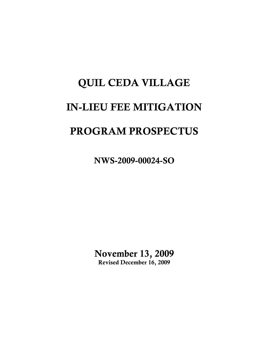# QUIL CEDA VILLAGE IN-LIEU FEE MITIGATION PROGRAM PROSPECTUS

NWS-2009-00024-SO

November 13, 2009 Revised December 16, 2009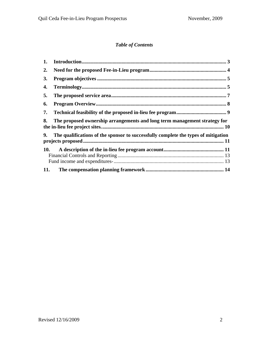### *Table of Contents*

| 1.  |                                                                                    |  |
|-----|------------------------------------------------------------------------------------|--|
| 2.  |                                                                                    |  |
| 3.  |                                                                                    |  |
| 4.  |                                                                                    |  |
| 5.  |                                                                                    |  |
| 6.  |                                                                                    |  |
| 7.  |                                                                                    |  |
| 8.  | The proposed ownership arrangements and long term management strategy for          |  |
| 9.  | The qualifications of the sponsor to successfully complete the types of mitigation |  |
|     |                                                                                    |  |
| 10. |                                                                                    |  |
|     |                                                                                    |  |
| 11. |                                                                                    |  |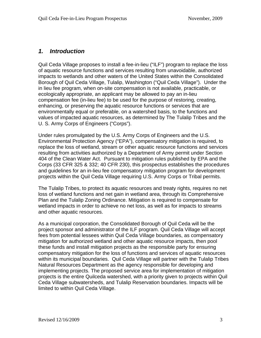# <span id="page-2-0"></span>*1. Introduction*

Quil Ceda Village proposes to install a fee-in-lieu ("ILF") program to replace the loss of aquatic resource functions and services resulting from unavoidable, authorized impacts to wetlands and other waters of the United States within the Consolidated Borough of Quil Ceda Village, Tulalip, Washington ("Quil Ceda Village"). Under the in lieu fee program, when on-site compensation is not available, practicable, or ecologically appropriate, an applicant may be allowed to pay an in-lieu compensation fee (in-lieu fee) to be used for the purpose of restoring, creating, enhancing, or preserving the aquatic resource functions or services that are environmentally equal or preferable, on a watershed basis, to the functions and values of impacted aquatic resources, as determined by The Tulalip Tribes and the U. S. Army Corps of Engineers ("Corps").

Under rules promulgated by the U.S. Army Corps of Engineers and the U.S. Environmental Protection Agency ("EPA"), compensatory mitigation is required, to replace the loss of wetland, stream or other aquatic resource functions and services resulting from activities authorized by a Department of Army permit under Section 404 of the Clean Water Act. Pursuant to mitigation rules published by EPA and the Corps (33 CFR 325 & 332; 40 CFR 230), this prospectus establishes the procedures and guidelines for an in-lieu fee compensatory mitigation program for development projects within the Quil Ceda Village requiring U.S. Army Corps or Tribal permits.

The Tulalip Tribes, to protect its aquatic resources and treaty rights, requires no net loss of wetland functions and net gain in wetland area, through its Comprehensive Plan and the Tulalip Zoning Ordinance. Mitigation is required to compensate for wetland impacts in order to achieve no net loss, as well as for impacts to streams and other aquatic resources.

As a municipal corporation, the Consolidated Borough of Quil Ceda will be the project sponsor and administrator of the ILF program. Quil Ceda Village will accept fees from potential lessees within Quil Ceda Village boundaries, as compensatory mitigation for authorized wetland and other aquatic resource impacts, then pool these funds and install mitigation projects as the responsible party for ensuring compensatory mitigation for the loss of functions and services of aquatic resources within its municipal boundaries. Quil Ceda Village will partner with the Tulalip Tribes Natural Resources Department as the agency responsible for developing and implementing projects. The proposed service area for implementation of mitigation projects is the entire Quilceda watershed, with a priority given to projects within Quil Ceda Village subwatersheds, and Tulalip Reservation boundaries. Impacts will be limited to within Quil Ceda Village.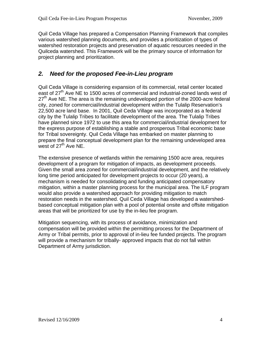<span id="page-3-0"></span>Quil Ceda Village has prepared a Compensation Planning Framework that compiles various watershed planning documents, and provides a prioritization of types of watershed restoration projects and preservation of aquatic resources needed in the Quilceda watershed. This Framework will be the primary source of information for project planning and prioritization.

# *2. Need for the proposed Fee-in-Lieu program*

Quil Ceda Village is considering expansion of its commercial, retail center located east of 27<sup>th</sup> Ave NE to 1500 acres of commercial and industrial-zoned lands west of  $27<sup>th</sup>$  Ave NE. The area is the remaining undeveloped portion of the 2000-acre federal city, zoned for commercial/industrial development within the Tulalip Reservation's 22,500 acre land base. In 2001, Quil Ceda Village was incorporated as a federal city by the Tulalip Tribes to facilitate development of the area. The Tulalip Tribes have planned since 1972 to use this area for commercial/industrial development for the express purpose of establishing a stable and prosperous Tribal economic base for Tribal sovereignty. Quil Ceda Village has embarked on master planning to prepare the final conceptual development plan for the remaining undeveloped area west of  $27<sup>th</sup>$  Ave NE.

The extensive presence of wetlands within the remaining 1500 acre area, requires development of a program for mitigation of impacts, as development proceeds. Given the small area zoned for commercial/industrial development, and the relatively long time period anticipated for development projects to occur (20 years), a mechanism is needed for consolidating and funding anticipated compensatory mitigation, within a master planning process for the municipal area. The ILF program would also provide a watershed approach for providing mitigation to match restoration needs in the watershed. Quil Ceda Village has developed a watershedbased conceptual mitigation plan with a pool of potential onsite and offsite mitigation areas that will be prioritized for use by the in-lieu fee program.

Mitigation sequencing, with its process of avoidance, minimization and compensation will be provided within the permitting process for the Department of Army or Tribal permits, prior to approval of in-lieu fee funded projects. The program will provide a mechanism for tribally- approved impacts that do not fall within Department of Army jurisdiction.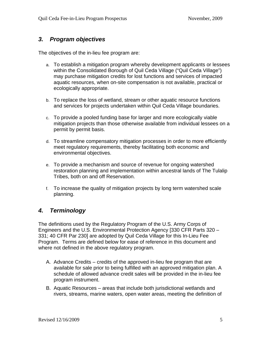# <span id="page-4-0"></span>*3. Program objectives*

The objectives of the in-lieu fee program are:

- a. To establish a mitigation program whereby development applicants or lessees within the Consolidated Borough of Quil Ceda Village ("Quil Ceda Village") may purchase mitigation credits for lost functions and services of impacted aquatic resources, when on-site compensation is not available, practical or ecologically appropriate.
- b. To replace the loss of wetland, stream or other aquatic resource functions and services for projects undertaken within Quil Ceda Village boundaries.
- c. To provide a pooled funding base for larger and more ecologically viable mitigation projects than those otherwise available from individual lessees on a permit by permit basis.
- d. To streamline compensatory mitigation processes in order to more efficiently meet regulatory requirements, thereby facilitating both economic and environmental objectives.
- e. To provide a mechanism and source of revenue for ongoing watershed restoration planning and implementation within ancestral lands of The Tulalip Tribes, both on and off Reservation.
- f. To increase the quality of mitigation projects by long term watershed scale planning.

# *4. Terminology*

The definitions used by the Regulatory Program of the U.S. Army Corps of Engineers and the U.S. Environmental Protection Agency [330 CFR Parts 320 – 331; 40 CFR Par 230] are adopted by Quil Ceda Village for this In-Lieu Fee Program. Terms are defined below for ease of reference in this document and where not defined in the above regulatory program.

- A. Advance Credits credits of the approved in-lieu fee program that are available for sale prior to being fulfilled with an approved mitigation plan. A schedule of allowed advance credit sales will be provided in the in-lieu fee program instrument.
- B. Aquatic Resources areas that include both jurisdictional wetlands and rivers, streams, marine waters, open water areas, meeting the definition of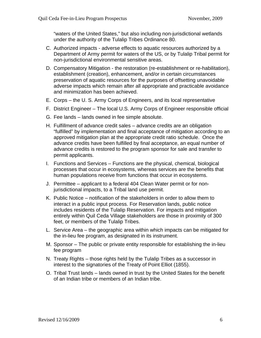"waters of the United States," but also including non-jurisdictional wetlands under the authority of the Tulalip Tribes Ordinance 80.

- C. Authorized impacts adverse effects to aquatic resources authorized by a Department of Army permit for waters of the US, or by Tulalip Tribal permit for non-jurisdictional environmental sensitive areas.
- D. Compensatory Mitigation the restoration (re-establishment or re-habilitation), establishment (creation), enhancement, and/or in certain circumstances preservation of aquatic resources for the purposes of offsetting unavoidable adverse impacts which remain after all appropriate and practicable avoidance and minimization has been achieved.
- E. Corps the U. S. Army Corps of Engineers, and its local representative
- F. District Engineer The local U.S. Army Corps of Engineer responsible official
- G. Fee lands lands owned in fee simple absolute.
- H. Fulfillment of advance credit sales advance credits are an obligation "fulfilled" by implementation and final acceptance of mitigation according to an approved mitigation plan at the appropriate credit ratio schedule. Once the advance credits have been fulfilled by final acceptance, an equal number of advance credits is restored to the program sponsor for sale and transfer to permit applicants.
- I. Functions and Services Functions are the physical, chemical, biological processes that occur in ecosystems, whereas services are the benefits that human populations receive from functions that occur in ecosystems.
- J. Permittee applicant to a federal 404 Clean Water permit or for noniurisdictional impacts, to a Tribal land use permit.
- K. Public Notice notification of the stakeholders in order to allow them to interact in a public input process. For Reservation lands, public notice includes residents of the Tulalip Reservation. For impacts and mitigation entirely within Quil Ceda Village stakeholders are those in proximity of 300 feet, or members of the Tulalip Tribes.
- L. Service Area the geographic area within which impacts can be mitigated for the in-lieu fee program, as designated in its instrument.
- M. Sponsor The public or private entity responsible for establishing the in-lieu fee program
- N. Treaty Rights those rights held by the Tulalip Tribes as a successor in interest to the signatories of the Treaty of Point Elliot (1855).
- O. Tribal Trust lands lands owned in trust by the United States for the benefit of an Indian tribe or members of an Indian tribe.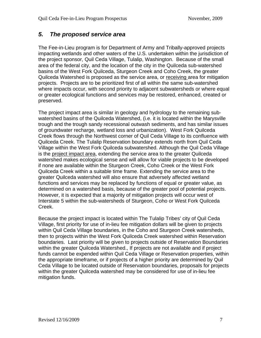## <span id="page-6-0"></span>*5. The proposed service area*

The Fee-in-Lieu program is for Department of Army and Tribally-approved projects impacting wetlands and other waters of the U.S. undertaken within the jurisdiction of the project sponsor, Quil Ceda Village, Tulalip, Washington. Because of the small area of the federal city, and the location of the city in the Quilceda sub-watershed basins of the West Fork Quilceda, Sturgeon Creek and Coho Creek, the greater Quilceda Watershed is proposed as the service area, or receiving area for mitigation projects. Projects are to be prioritized first of all within the same sub-watershed where impacts occur, with second priority to adjacent subwatersheds or where equal or greater ecological functions and services may be restored, enhanced, created or preserved.

The project impact area is similar in geology and hydrology to the remaining subwatershed basins of the Quilceda Watershed, (i.e. it is located within the Marysville trough and the trough sandy recessional outwash sediments, and has similar issues of groundwater recharge, wetland loss and urbanization). West Fork Quilceda Creek flows through the Northwest corner of Quil Ceda Village to its confluence with Quilceda Creek. The Tulalip Reservation boundary extends north from Quil Ceda Village within the West Fork Quilceda subwatershed. Although the Quil Ceda Village is the project impact area, extending the service area to the greater Quilceda watershed makes ecological sense and will allow for viable projects to be developed if none are available within the Sturgeon Creek, Coho Creek or the West Fork Quilceda Creek within a suitable time frame. Extending the service area to the greater Quilceda watershed will also ensure that adversely affected wetland functions and services may be replaced by functions of equal or greater value, as determined on a watershed basis, because of the greater pool of potential projects. However, it is expected that a majority of mitigation projects will occur west of Interstate 5 within the sub-watersheds of Sturgeon, Coho or West Fork Quilceda Creek.

Because the project impact is located within The Tulalip Tribes' city of Quil Ceda Village, first priority for use of in-lieu fee mitigation dollars will be given to projects within Quil Ceda Village boundaries, in the Coho and Sturgeon Creek watersheds, then to projects within the West Fork Quilceda Creek watershed within Reservation boundaries. Last priority will be given to projects outside of Reservation Boundaries within the greater Quilceda Watershed., If projects are not available and if project funds cannot be expended within Quil Ceda Village or Reservation properties, within the appropriate timeframe, or if projects of a higher priority are determined by Quil Ceda Village to be located outside of Reservation boundaries, proposals for projects within the greater Quilceda watershed may be considered for use of in-lieu fee mitigation funds.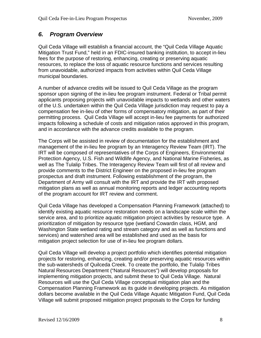# <span id="page-7-0"></span>*6. Program Overview*

Quil Ceda Village will establish a financial account, the "Quil Ceda Village Aquatic Mitigation Trust Fund," held in an FDIC-insured banking institution, to accept in-lieu fees for the purpose of restoring, enhancing, creating or preserving aquatic resources, to replace the loss of aquatic resource functions and services resulting from unavoidable, authorized impacts from activities within Quil Ceda Village municipal boundaries.

A number of advance credits will be issued to Quil Ceda Village as the program sponsor upon signing of the in-lieu fee program instrument. Federal or Tribal permit applicants proposing projects with unavoidable impacts to wetlands and other waters of the U.S. undertaken within the Quil Ceda Village jurisdiction may request to pay a compensation fee in-lieu of other forms of compensatory mitigation, as part of their permitting process. Quil Ceda Village will accept in-lieu fee payments for authorized impacts following a schedule of costs and mitigation ratios approved in this program, and in accordance with the advance credits available to the program.

The Corps will be assisted in review of documentation for the establishment and management of the in-lieu fee program by an Interagency Review Team (IRT). The IRT will be composed of representatives of the Corps of Engineers, Environmental Protection Agency, U.S. Fish and Wildlife Agency, and National Marine Fisheries, as well as The Tulalip Tribes. The Interagency Review Team will first of all review and provide comments to the District Engineer on the proposed in-lieu fee program prospectus and draft instrument. Following establishment of the program, the Department of Army will consult with the IRT and provide the IRT with proposed mitigation plans as well as annual monitoring reports and ledger accounting reports of the program account for IRT review and comment.

Quil Ceda Village has developed a Compensation Planning Framework (attached) to identify existing aquatic resource restoration needs on a landscape scale within the service area, and to prioritize aquatic mitigation project activities by resource type. A prioritization of mitigation by resource type (wetland Cowardin class, HGM, and Washington State wetland rating and stream category and as well as functions and services) and watershed area will be established and used as the basis for mitigation project selection for use of in-lieu fee program dollars.

Quil Ceda Village will develop a project portfolio which identifies potential mitigation projects for restoring, enhancing, creating and/or preserving aquatic resources within the sub-watersheds of Quilceda Creek. To create the portfolio, the Tulalip Tribes Natural Resources Department ("Natural Resources") will develop proposals for implementing mitigation projects, and submit these to Quil Ceda Village. Natural Resources will use the Quil Ceda Village conceptual mitigation plan and the Compensation Planning Framework as its guide in developing projects. As mitigation dollars become available in the Quil Ceda Village Aquatic Mitigation Fund, Quil Ceda Village will submit proposed mitigation project proposals to the Corps for funding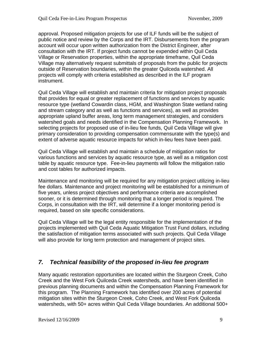<span id="page-8-0"></span>approval. Proposed mitigation projects for use of ILF funds will be the subject of public notice and review by the Corps and the IRT. Disbursements from the program account will occur upon written authorization from the District Engineer, after consultation with the IRT. If project funds cannot be expended within Quil Ceda Village or Reservation properties, within the appropriate timeframe, Quil Ceda Village may alternatively request submittals of proposals from the public for projects outside of Reservation boundaries, within the greater Quilceda watershed. All projects will comply with criteria established as described in the ILF program instrument.

Quil Ceda Village will establish and maintain criteria for mitigation project proposals that provides for equal or greater replacement of functions and services by aquatic resource type (wetland Cowardin class, HGM, and Washington State wetland rating and stream category and as well as functions and services), as well as provides appropriate upland buffer areas, long term management strategies, and considers watershed goals and needs identified in the Compensation Planning Framework. In selecting projects for proposed use of in-lieu fee funds, Quil Ceda Village will give primary consideration to providing compensation commensurate with the type(s) and extent of adverse aquatic resource impacts for which in-lieu fees have been paid.

Quil Ceda Village will establish and maintain a schedule of mitigation ratios for various functions and services by aquatic resource type, as well as a mitigation cost table by aquatic resource type. Fee-in-lieu payments will follow the mitigation ratio and cost tables for authorized impacts.

Maintenance and monitoring will be required for any mitigation project utilizing in-lieu fee dollars. Maintenance and project monitoring will be established for a minimum of five years, unless project objectives and performance criteria are accomplished sooner, or it is determined through monitoring that a longer period is required. The Corps, in consultation with the IRT, will determine if a longer monitoring period is required, based on site specific considerations.

Quil Ceda Village will be the legal entity responsible for the implementation of the projects implemented with Quil Ceda Aquatic Mitigation Trust Fund dollars, including the satisfaction of mitigation terms associated with such projects. Quil Ceda Village will also provide for long term protection and management of project sites.

# *7. Technical feasibility of the proposed in-lieu fee program*

Many aquatic restoration opportunities are located within the Sturgeon Creek, Coho Creek and the West Fork Quilceda Creek watersheds, and have been identified in previous planning documents and within the Compensation Planning Framework for this program. The Planning Framework has identified over 200 acres of potential mitigation sites within the Sturgeon Creek, Coho Creek, and West Fork Quilceda watersheds, with 50+ acres within Quil Ceda Village boundaries. An additional 500+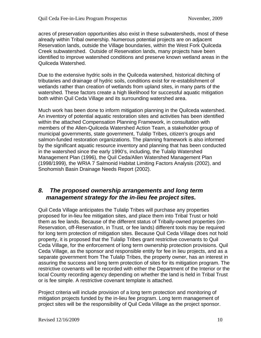<span id="page-9-0"></span>acres of preservation opportunities also exist in these subwatersheds, most of these already within Tribal ownership. Numerous potential projects are on adjacent Reservation lands, outside the Village boundaries, within the West Fork Quilceda Creek subwatershed. Outside of Reservation lands, many projects have been identified to improve watershed conditions and preserve known wetland areas in the Quilceda Watershed.

Due to the extensive hydric soils in the Quilceda watershed, historical ditching of tributaries and drainage of hydric soils, conditions exist for re-establishment of wetlands rather than creation of wetlands from upland sites, in many parts of the watershed. These factors create a high likelihood for successful aquatic mitigation both within Quil Ceda Village and its surrounding watershed area.

Much work has been done to inform mitigation planning in the Quilceda watershed. An inventory of potential aquatic restoration sites and activities has been identified within the attached Compensation Planning Framework, in consultation with members of the Allen-Quilceda Watershed Action Team, a stakeholder group of municipal governments, state government, Tulalip Tribes, citizen's groups and salmon-funded restoration organizations. The planning framework is also informed by the significant aquatic resource inventory and planning that has been conducted in the watershed since the early 1990's, including, the Tulalip Watershed Management Plan (1996), the Quil Ceda/Allen Watershed Management Plan (1998/1999), the WRIA 7 Salmonid Habitat Limiting Factors Analysis (2002), and Snohomish Basin Drainage Needs Report (2002).

## *8. The proposed ownership arrangements and long term management strategy for the in-lieu fee project sites.*

Quil Ceda Village anticipates the Tulalip Tribes will purchase any properties proposed for in-lieu fee mitigation sites, and place them into Tribal Trust or hold them as fee lands. Because of the different status of Tribally-owned properties (on-Reservation, off-Reservation, in Trust, or fee lands) different tools may be required for long term protection of mitigation sites. Because Quil Ceda Village does not hold property, it is proposed that the Tulalip Tribes grant restrictive covenants to Quil Ceda Village, for the enforcement of long term ownership protection provisions. Quil Ceda Village, as the sponsor and responsible entity for fee in lieu projects, and as a separate government from The Tulalip Tribes, the property owner, has an interest in assuring the success and long term protection of sites for its mitigation program. The restrictive covenants will be recorded with either the Department of the Interior or the local County recording agency depending on whether the land is held in Tribal Trust or is fee simple. A restrictive covenant template is attached.

Project criteria will include provision of a long term protection and monitoring of mitigation projects funded by the in-lieu fee program. Long term management of project sites will be the responsibility of Quil Ceda Village as the project sponsor.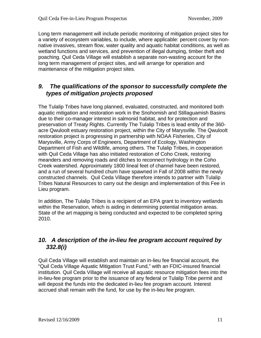<span id="page-10-0"></span>Long term management will include periodic monitoring of mitigation project sites for a variety of ecosystem variables, to include, where applicable: percent cover by nonnative invasives, stream flow, water quality and aquatic habitat conditions, as well as wetland functions and services, and prevention of illegal dumping, timber theft and poaching. Quil Ceda Village will establish a separate non-wasting account for the long term management of project sites, and will arrange for operation and maintenance of the mitigation project sites.

# *9. The qualifications of the sponsor to successfully complete the types of mitigation projects proposed*

The Tulalip Tribes have long planned, evaluated, constructed, and monitored both aquatic mitigation and restoration work in the Snohomish and Stillaguamish Basins due to their co-manager interest in salmonid habitat, and for protection and preservation of Treaty Rights. Currently The Tulalip Tribes is lead entity of the 360 acre Qwuloolt estuary restoration project, within the City of Marysville. The Qwuloolt restoration project is progressing in partnership with NOAA Fisheries, City of Marysville, Army Corps of Engineers, Department of Ecology, Washington Department of Fish and Wildlife, among others. The Tulalip Tribes, in cooperation with Quil Ceda Village has also initiated restoration of Coho Creek, restoring meanders and removing roads and ditches to reconnect hydrology in the Coho Creek watershed. Approximately 1800 lineal feet of channel have been restored, and a run of several hundred chum have spawned in Fall of 2008 within the newly constructed channels. Quil Ceda Village therefore intends to partner with Tulalip Tribes Natural Resources to carry out the design and implementation of this Fee in Lieu program.

In addition, The Tulalip Tribes is a recipient of an EPA grant to inventory wetlands within the Reservation, which is aiding in determining potential mitigation areas. State of the art mapping is being conducted and expected to be completed spring 2010.

# *10. A description of the in-lieu fee program account required by 332.8(i)*

Quil Ceda Village will establish and maintain an in-lieu fee financial account, the "Quil Ceda Village Aquatic Mitigation Trust Fund," with an FDIC-insured financial institution. Quil Ceda Village will receive all aquatic resource mitigation fees into the in-lieu-fee program prior to the issuance of any federal or Tulalip Tribe permit and will deposit the funds into the dedicated in-lieu fee program account. Interest accrued shall remain with the fund, for use by the in-lieu fee program.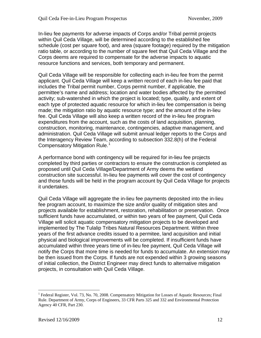In-lieu fee payments for adverse impacts of Corps and/or Tribal permit projects within Quil Ceda Village, will be determined according to the established fee schedule (cost per square foot), and area (square footage) required by the mitigation ratio table, or according to the number of square feet that Quil Ceda Village and the Corps deems are required to compensate for the adverse impacts to aquatic resource functions and services, both temporary and permanent.

Quil Ceda Village will be responsible for collecting each in-lieu fee from the permit applicant. Quil Ceda Village will keep a written record of each in-lieu fee paid that includes the Tribal permit number, Corps permit number, if applicable, the permittee's name and address; location and water bodies affected by the permitted activity; sub-watershed in which the project is located; type, quality, and extent of each type of protected aquatic resource for which in-lieu fee compensation is being made; the mitigation ratio by aquatic resource type; and the amount of the in-lieu fee. Quil Ceda Village will also keep a written record of the in-lieu fee program expenditures from the account, such as the costs of land acquisition, planning, construction, monitoring, maintenance, contingencies, adaptive management, and administration. Quil Ceda Village will submit annual ledger reports to the Corps and the Interagency Review Team, according to subsection 332.8(h) of the Federal Compensatory Mitigation Rule.<sup>[1](#page-11-0)</sup>

A performance bond with contingency will be required for in-lieu fee projects completed by third parties or contractors to ensure the construction is completed as proposed until Quil Ceda Village/Department of Army deems the wetland construction site successful. In-lieu fee payments will cover the cost of contingency and those funds will be held in the program account by Quil Ceda Village for projects it undertakes.

Quil Ceda Village will aggregate the in-lieu fee payments deposited into the in-lieu fee program account, to maximize the size and/or quality of mitigation sites and projects available for establishment, restoration, rehabilitation or preservation. Once sufficient funds have accumulated, or within two years of fee payment, Quil Ceda Village will solicit aquatic compensatory mitigation projects to be developed and implemented by The Tulalip Tribes Natural Resources Department. Within three years of the first advance credits issued to a permitee, land acquisition and initial physical and biological improvements will be completed. If insufficient funds have accumulated within three years time of in-lieu fee payment, Quil Ceda Village will notify the Corps that more time is needed for funds to accumulate. An extension may be then issued from the Corps. If funds are not expended within 3 growing seasons of initial collection, the District Engineer may direct funds to alternative mitigation projects, in consultation with Quil Ceda Village.

 $\overline{a}$ 

<span id="page-11-0"></span><sup>&</sup>lt;sup>1</sup> Federal Register, Vol. 73, No. 70, 2008. Compensatory Mitigation for Losses of Aquatic Resources; Final Rule. Department of Army, Corps of Engineers, 33 CFR Parts 325 and 332 and Environmental Protection Agency 40 CFR, Part 230.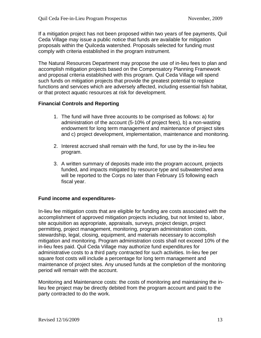<span id="page-12-0"></span>If a mitigation project has not been proposed within two years of fee payments, Quil Ceda Village may issue a public notice that funds are available for mitigation proposals within the Quilceda watershed. Proposals selected for funding must comply with criteria established in the program instrument.

The Natural Resources Department may propose the use of in-lieu fees to plan and accomplish mitigation projects based on the Compensatory Planning Framework and proposal criteria established with this program. Quil Ceda Village will spend such funds on mitigation projects that provide the greatest potential to replace functions and services which are adversely affected, including essential fish habitat, or that protect aquatic resources at risk for development.

#### **Financial Controls and Reporting**

- 1. The fund will have three accounts to be comprised as follows: a) for administration of the account (5-10% of project fees), b) a non-wasting endowment for long term management and maintenance of project sites and c) project development, implementation, maintenance and monitoring.
- 2. Interest accrued shall remain with the fund, for use by the in-lieu fee program.
- 3. A written summary of deposits made into the program account, projects funded, and impacts mitigated by resource type and subwatershed area will be reported to the Corps no later than February 15 following each fiscal year.

#### **Fund income and expenditures-**

In-lieu fee mitigation costs that are eligible for funding are costs associated with the accomplishment of approved mitigation projects including, but not limited to, labor, site acquisition as appropriate, appraisals, surveys, project design, project permitting, project management, monitoring, program administration costs, stewardship, legal, closing, equipment, and materials necessary to accomplish mitigation and monitoring. Program administration costs shall not exceed 10% of the in-lieu fees paid. Quil Ceda Village may authorize fund expenditures for administrative costs to a third party contracted for such activities. In-lieu fee per square foot costs will include a percentage for long term management and maintenance of project sites. Any unused funds at the completion of the monitoring period will remain with the account.

Monitoring and Maintenance costs: the costs of monitoring and maintaining the inlieu fee project may be directly debited from the program account and paid to the party contracted to do the work.